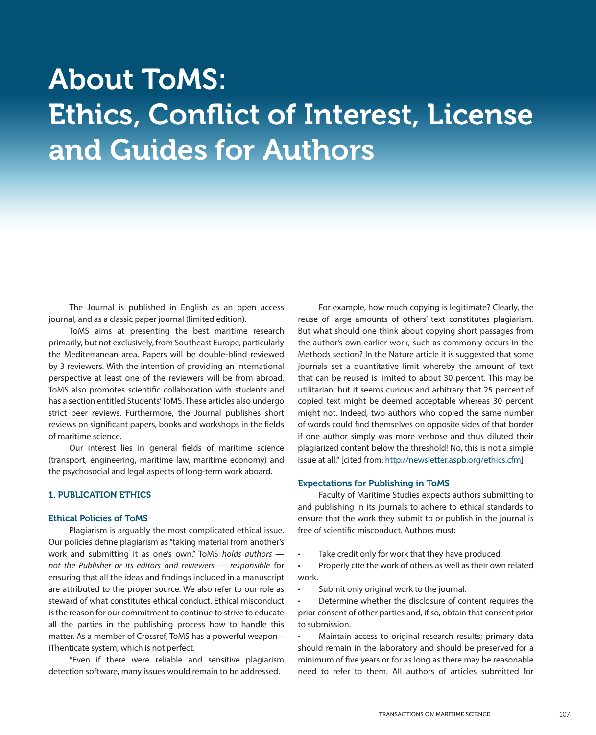# About ToMS: Ethics, Conflict of Interest, License and Guides for Authors

The Journal is published in English as an open access journal, and as a classic paper journal (limited edition).

ToMS aims at presenting the best maritime research primarily, but not exclusively, from Southeast Europe, particularly the Mediterranean area. Papers will be double-blind reviewed by 3 reviewers. With the intention of providing an international perspective at least one of the reviewers will be from abroad. ToMS also promotes scientific collaboration with students and has a section entitled Students' ToMS. These articles also undergo strict peer reviews. Furthermore, the Journal publishes short reviews on significant papers, books and workshops in the fields of maritime science.

Our interest lies in general fields of maritime science (transport, engineering, maritime law, maritime economy) and the psychosocial and legal aspects of long-term work aboard.

# 1. PUBLICATION ETHICS

# Ethical Policies of ToMS

Plagiarism is arguably the most complicated ethical issue. Our policies define plagiarism as "taking material from another's work and submitting it as one's own." ToMS *holds authors not the Publisher or its editors and reviewers — responsible* for ensuring that all the ideas and findings included in a manuscript are attributed to the proper source. We also refer to our role as steward of what constitutes ethical conduct. Ethical misconduct is the reason for our commitment to continue to strive to educate all the parties in the publishing process how to handle this matter. As a member of Crossref, ToMS has a powerful weapon – iThenticate system, which is not perfect.

"Even if there were reliable and sensitive plagiarism detection software, many issues would remain to be addressed.

For example, how much copying is legitimate? Clearly, the reuse of large amounts of others' text constitutes plagiarism. But what should one think about copying short passages from the author's own earlier work, such as commonly occurs in the Methods section? In the Nature article it is suggested that some journals set a quantitative limit whereby the amount of text that can be reused is limited to about 30 percent. This may be utilitarian, but it seems curious and arbitrary that 25 percent of copied text might be deemed acceptable whereas 30 percent might not. Indeed, two authors who copied the same number of words could find themselves on opposite sides of that border if one author simply was more verbose and thus diluted their plagiarized content below the threshold! No, this is not a simple issue at all." [cited from: http://newsletter.aspb.org/ethics.cfm]

## Expectations for Publishing in ToMS

Faculty of Maritime Studies expects authors submitting to and publishing in its journals to adhere to ethical standards to ensure that the work they submit to or publish in the journal is free of scientific misconduct. Authors must:

Take credit only for work that they have produced.

• Properly cite the work of others as well as their own related work.

Submit only original work to the journal.

Determine whether the disclosure of content requires the prior consent of other parties and, if so, obtain that consent prior to submission.

Maintain access to original research results; primary data should remain in the laboratory and should be preserved for a minimum of five years or for as long as there may be reasonable need to refer to them. All authors of articles submitted for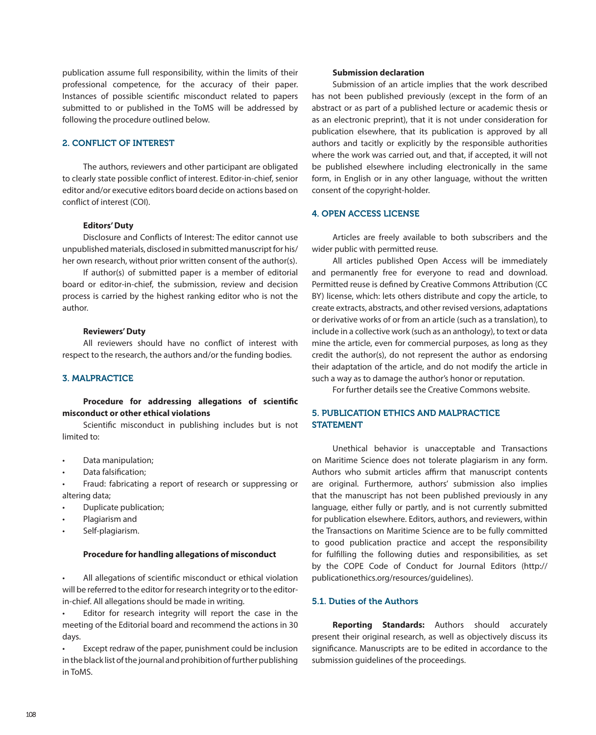publication assume full responsibility, within the limits of their professional competence, for the accuracy of their paper. Instances of possible scientific misconduct related to papers submitted to or published in the ToMS will be addressed by following the procedure outlined below.

# 2. CONFLICT OF INTEREST

The authors, reviewers and other participant are obligated to clearly state possible conflict of interest. Editor-in-chief, senior editor and/or executive editors board decide on actions based on conflict of interest (COI).

## **Editors' Duty**

Disclosure and Conflicts of Interest: The editor cannot use unpublished materials, disclosed in submitted manuscript for his/ her own research, without prior written consent of the author(s).

If author(s) of submitted paper is a member of editorial board or editor-in-chief, the submission, review and decision process is carried by the highest ranking editor who is not the author.

## **Reviewers' Duty**

All reviewers should have no conflict of interest with respect to the research, the authors and/or the funding bodies.

## 3. MALPRACTICE

# **Procedure for addressing allegations of scientific misconduct or other ethical violations**

Scientific misconduct in publishing includes but is not limited to:

- Data manipulation:
- Data falsification:
- Fraud: fabricating a report of research or suppressing or altering data;
- Duplicate publication;
- Plagiarism and
- Self-plagiarism.

# **Procedure for handling allegations of misconduct**

All allegations of scientific misconduct or ethical violation will be referred to the editor for research integrity or to the editorin-chief. All allegations should be made in writing.

Editor for research integrity will report the case in the meeting of the Editorial board and recommend the actions in 30 days.

Except redraw of the paper, punishment could be inclusion in the black list of the journal and prohibition of further publishing in ToMS.

#### **Submission declaration**

Submission of an article implies that the work described has not been published previously (except in the form of an abstract or as part of a published lecture or academic thesis or as an electronic preprint), that it is not under consideration for publication elsewhere, that its publication is approved by all authors and tacitly or explicitly by the responsible authorities where the work was carried out, and that, if accepted, it will not be published elsewhere including electronically in the same form, in English or in any other language, without the written consent of the copyright-holder.

# 4. OPEN ACCESS LICENSE

Articles are freely available to both subscribers and the wider public with permitted reuse.

All articles published Open Access will be immediately and permanently free for everyone to read and download. Permitted reuse is defined by Creative Commons Attribution (CC BY) license, which: lets others distribute and copy the article, to create extracts, abstracts, and other revised versions, adaptations or derivative works of or from an article (such as a translation), to include in a collective work (such as an anthology), to text or data mine the article, even for commercial purposes, as long as they credit the author(s), do not represent the author as endorsing their adaptation of the article, and do not modify the article in such a way as to damage the author's honor or reputation.

For further details see the Creative Commons website.

# 5. PUBLICATION ETHICS AND MALPRACTICE **STATEMENT**

Unethical behavior is unacceptable and Transactions on Maritime Science does not tolerate plagiarism in any form. Authors who submit articles affirm that manuscript contents are original. Furthermore, authors' submission also implies that the manuscript has not been published previously in any language, either fully or partly, and is not currently submitted for publication elsewhere. Editors, authors, and reviewers, within the Transactions on Maritime Science are to be fully committed to good publication practice and accept the responsibility for fulfilling the following duties and responsibilities, as set by the COPE Code of Conduct for Journal Editors (http:// publicationethics.org/resources/guidelines).

# 5.1. Duties of the Authors

**Reporting Standards:** Authors should accurately present their original research, as well as objectively discuss its significance. Manuscripts are to be edited in accordance to the submission guidelines of the proceedings.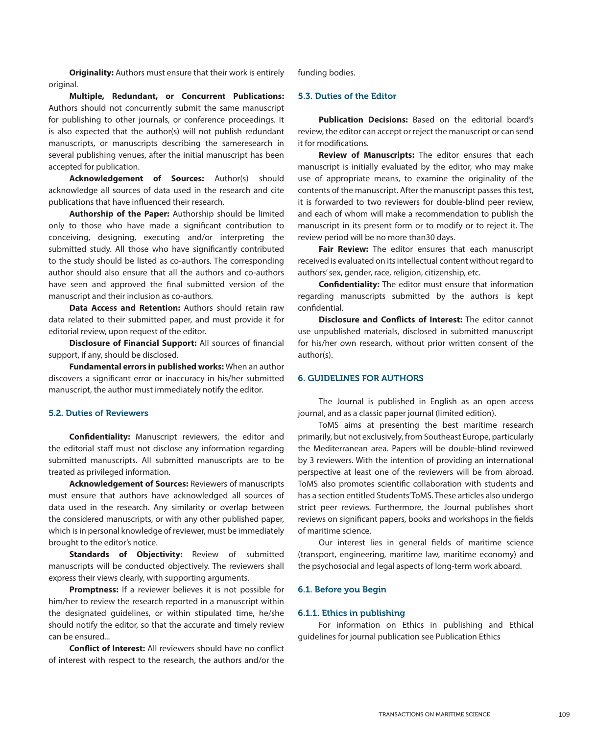**Originality:** Authors must ensure that their work is entirely original.

**Multiple, Redundant, or Concurrent Publications:**  Authors should not concurrently submit the same manuscript for publishing to other journals, or conference proceedings. It is also expected that the author(s) will not publish redundant manuscripts, or manuscripts describing the sameresearch in several publishing venues, after the initial manuscript has been accepted for publication.

**Acknowledgement of Sources:** Author(s) should acknowledge all sources of data used in the research and cite publications that have influenced their research.

**Authorship of the Paper:** Authorship should be limited only to those who have made a significant contribution to conceiving, designing, executing and/or interpreting the submitted study. All those who have significantly contributed to the study should be listed as co-authors. The corresponding author should also ensure that all the authors and co-authors have seen and approved the final submitted version of the manuscript and their inclusion as co-authors.

**Data Access and Retention:** Authors should retain raw data related to their submitted paper, and must provide it for editorial review, upon request of the editor.

**Disclosure of Financial Support:** All sources of financial support, if any, should be disclosed.

**Fundamental errors in published works:** When an author discovers a significant error or inaccuracy in his/her submitted manuscript, the author must immediately notify the editor.

# 5.2. Duties of Reviewers

**Confidentiality:** Manuscript reviewers, the editor and the editorial staff must not disclose any information regarding submitted manuscripts. All submitted manuscripts are to be treated as privileged information.

**Acknowledgement of Sources:** Reviewers of manuscripts must ensure that authors have acknowledged all sources of data used in the research. Any similarity or overlap between the considered manuscripts, or with any other published paper, which is in personal knowledge of reviewer, must be immediately brought to the editor's notice.

**Standards of Objectivity:** Review of submitted manuscripts will be conducted objectively. The reviewers shall express their views clearly, with supporting arguments.

**Promptness:** If a reviewer believes it is not possible for him/her to review the research reported in a manuscript within the designated guidelines, or within stipulated time, he/she should notify the editor, so that the accurate and timely review can be ensured...

**Conflict of Interest:** All reviewers should have no conflict of interest with respect to the research, the authors and/or the

funding bodies.

# 5.3. Duties of the Editor

**Publication Decisions:** Based on the editorial board's review, the editor can accept or reject the manuscript or can send it for modifications.

**Review of Manuscripts:** The editor ensures that each manuscript is initially evaluated by the editor, who may make use of appropriate means, to examine the originality of the contents of the manuscript. After the manuscript passes this test, it is forwarded to two reviewers for double-blind peer review, and each of whom will make a recommendation to publish the manuscript in its present form or to modify or to reject it. The review period will be no more than30 days.

**Fair Review:** The editor ensures that each manuscript received is evaluated on its intellectual content without regard to authors' sex, gender, race, religion, citizenship, etc.

**Confidentiality:** The editor must ensure that information regarding manuscripts submitted by the authors is kept confidential.

**Disclosure and Conflicts of Interest:** The editor cannot use unpublished materials, disclosed in submitted manuscript for his/her own research, without prior written consent of the author(s).

## 6. GUIDELINES FOR AUTHORS

The Journal is published in English as an open access journal, and as a classic paper journal (limited edition).

ToMS aims at presenting the best maritime research primarily, but not exclusively, from Southeast Europe, particularly the Mediterranean area. Papers will be double-blind reviewed by 3 reviewers. With the intention of providing an international perspective at least one of the reviewers will be from abroad. ToMS also promotes scientific collaboration with students and has a section entitled Students' ToMS. These articles also undergo strict peer reviews. Furthermore, the Journal publishes short reviews on significant papers, books and workshops in the fields of maritime science.

Our interest lies in general fields of maritime science (transport, engineering, maritime law, maritime economy) and the psychosocial and legal aspects of long-term work aboard.

#### 6.1. Before you Begin

## 6.1.1. Ethics in publishing

For information on Ethics in publishing and Ethical guidelines for journal publication see Publication Ethics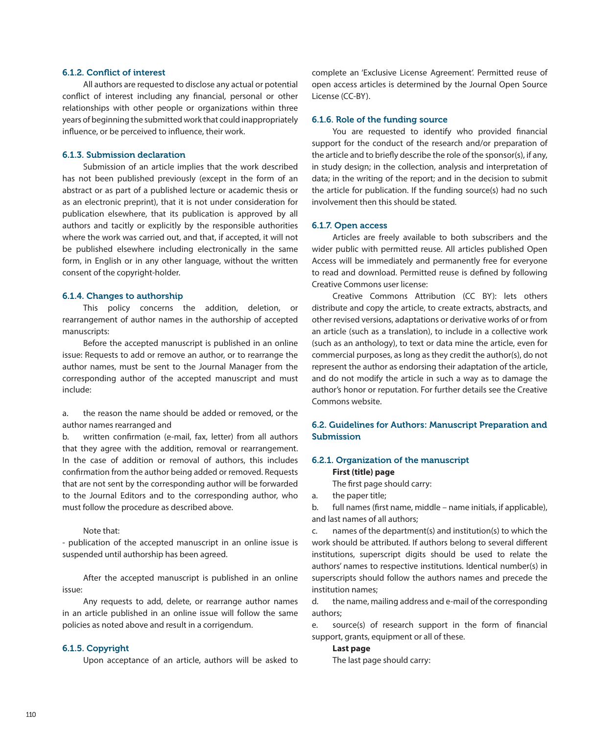## 6.1.2. Conflict of interest

All authors are requested to disclose any actual or potential conflict of interest including any financial, personal or other relationships with other people or organizations within three years of beginning the submitted work that could inappropriately influence, or be perceived to influence, their work.

## 6.1.3. Submission declaration

Submission of an article implies that the work described has not been published previously (except in the form of an abstract or as part of a published lecture or academic thesis or as an electronic preprint), that it is not under consideration for publication elsewhere, that its publication is approved by all authors and tacitly or explicitly by the responsible authorities where the work was carried out, and that, if accepted, it will not be published elsewhere including electronically in the same form, in English or in any other language, without the written consent of the copyright-holder.

## 6.1.4. Changes to authorship

This policy concerns the addition, deletion, or rearrangement of author names in the authorship of accepted manuscripts:

Before the accepted manuscript is published in an online issue: Requests to add or remove an author, or to rearrange the author names, must be sent to the Journal Manager from the corresponding author of the accepted manuscript and must include:

a. the reason the name should be added or removed, or the author names rearranged and

b. written confirmation (e-mail, fax, letter) from all authors that they agree with the addition, removal or rearrangement. In the case of addition or removal of authors, this includes confirmation from the author being added or removed. Requests that are not sent by the corresponding author will be forwarded to the Journal Editors and to the corresponding author, who must follow the procedure as described above.

# Note that:

- publication of the accepted manuscript in an online issue is suspended until authorship has been agreed.

After the accepted manuscript is published in an online issue:

Any requests to add, delete, or rearrange author names in an article published in an online issue will follow the same policies as noted above and result in a corrigendum.

#### 6.1.5. Copyright

Upon acceptance of an article, authors will be asked to

complete an 'Exclusive License Agreement'. Permitted reuse of open access articles is determined by the Journal Open Source License (CC-BY).

## 6.1.6. Role of the funding source

You are requested to identify who provided financial support for the conduct of the research and/or preparation of the article and to briefly describe the role of the sponsor(s), if any, in study design; in the collection, analysis and interpretation of data; in the writing of the report; and in the decision to submit the article for publication. If the funding source(s) had no such involvement then this should be stated.

#### 6.1.7. Open access

Articles are freely available to both subscribers and the wider public with permitted reuse. All articles published Open Access will be immediately and permanently free for everyone to read and download. Permitted reuse is defined by following Creative Commons user license:

Creative Commons Attribution (CC BY): lets others distribute and copy the article, to create extracts, abstracts, and other revised versions, adaptations or derivative works of or from an article (such as a translation), to include in a collective work (such as an anthology), to text or data mine the article, even for commercial purposes, as long as they credit the author(s), do not represent the author as endorsing their adaptation of the article, and do not modify the article in such a way as to damage the author's honor or reputation. For further details see the Creative Commons website.

# 6.2. Guidelines for Authors: Manuscript Preparation and Submission

## 6.2.1. Organization of the manuscript

#### **First (title) page**

The first page should carry:

a. the paper title;

b. full names (first name, middle – name initials, if applicable), and last names of all authors;

c. names of the department(s) and institution(s) to which the work should be attributed. If authors belong to several different institutions, superscript digits should be used to relate the authors' names to respective institutions. Identical number(s) in superscripts should follow the authors names and precede the institution names;

d. the name, mailing address and e-mail of the corresponding authors;

e. source(s) of research support in the form of financial support, grants, equipment or all of these.

#### **Last page**

The last page should carry: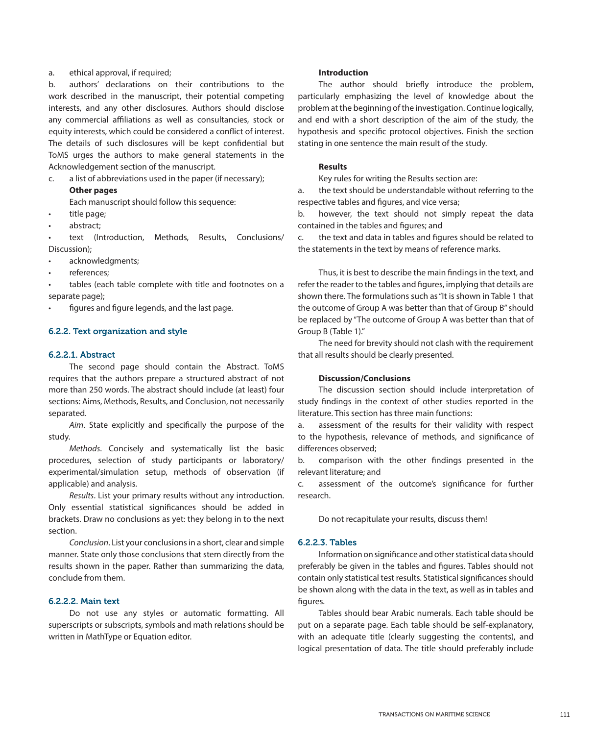## a. ethical approval, if required;

b. authors' declarations on their contributions to the work described in the manuscript, their potential competing interests, and any other disclosures. Authors should disclose any commercial affiliations as well as consultancies, stock or equity interests, which could be considered a conflict of interest. The details of such disclosures will be kept confidential but ToMS urges the authors to make general statements in the Acknowledgement section of the manuscript.

c. a list of abbreviations used in the paper (if necessary);

# **Other pages**

Each manuscript should follow this sequence:

- title page;
- abstract:

text (Introduction, Methods, Results, Conclusions/ Discussion);

- • acknowledgments;
- references:

tables (each table complete with title and footnotes on a separate page);

figures and figure legends, and the last page.

# 6.2.2. Text organization and style

## 6.2.2.1. Abstract

The second page should contain the Abstract. ToMS requires that the authors prepare a structured abstract of not more than 250 words. The abstract should include (at least) four sections: Aims, Methods, Results, and Conclusion, not necessarily separated.

*Aim*. State explicitly and specifically the purpose of the study.

*Methods*. Concisely and systematically list the basic procedures, selection of study participants or laboratory/ experimental/simulation setup, methods of observation (if applicable) and analysis.

*Results*. List your primary results without any introduction. Only essential statistical significances should be added in brackets. Draw no conclusions as yet: they belong in to the next section.

*Conclusion*. List your conclusions in a short, clear and simple manner. State only those conclusions that stem directly from the results shown in the paper. Rather than summarizing the data, conclude from them.

# 6.2.2.2. Main text

Do not use any styles or automatic formatting. All superscripts or subscripts, symbols and math relations should be written in MathType or Equation editor.

### **Introduction**

The author should briefly introduce the problem, particularly emphasizing the level of knowledge about the problem at the beginning of the investigation. Continue logically, and end with a short description of the aim of the study, the hypothesis and specific protocol objectives. Finish the section stating in one sentence the main result of the study.

# **Results**

Key rules for writing the Results section are:

a. the text should be understandable without referring to the respective tables and figures, and vice versa;

b. however, the text should not simply repeat the data contained in the tables and figures; and

c. the text and data in tables and figures should be related to the statements in the text by means of reference marks.

Thus, it is best to describe the main findings in the text, and refer the reader to the tables and figures, implying that details are shown there. The formulations such as "It is shown in Table 1 that the outcome of Group A was better than that of Group B" should be replaced by "The outcome of Group A was better than that of Group B (Table 1)."

The need for brevity should not clash with the requirement that all results should be clearly presented.

# **Discussion/Conclusions**

The discussion section should include interpretation of study findings in the context of other studies reported in the literature. This section has three main functions:

a. assessment of the results for their validity with respect to the hypothesis, relevance of methods, and significance of differences observed;

b. comparison with the other findings presented in the relevant literature; and

c. assessment of the outcome's significance for further research.

Do not recapitulate your results, discuss them!

# 6.2.2.3. Tables

Information on significance and other statistical data should preferably be given in the tables and figures. Tables should not contain only statistical test results. Statistical significances should be shown along with the data in the text, as well as in tables and figures.

Tables should bear Arabic numerals. Each table should be put on a separate page. Each table should be self-explanatory, with an adequate title (clearly suggesting the contents), and logical presentation of data. The title should preferably include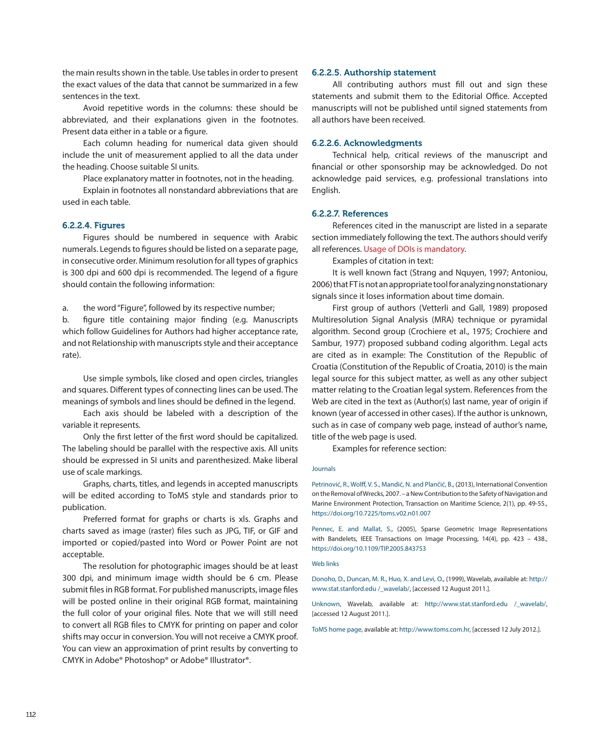the main results shown in the table. Use tables in order to present the exact values of the data that cannot be summarized in a few sentences in the text.

Avoid repetitive words in the columns: these should be abbreviated, and their explanations given in the footnotes. Present data either in a table or a figure.

Each column heading for numerical data given should include the unit of measurement applied to all the data under the heading. Choose suitable SI units.

Place explanatory matter in footnotes, not in the heading.

Explain in footnotes all nonstandard abbreviations that are used in each table.

# 6.2.2.4. Figures

Figures should be numbered in sequence with Arabic numerals. Legends to figures should be listed on a separate page, in consecutive order. Minimum resolution for all types of graphics is 300 dpi and 600 dpi is recommended. The legend of a figure should contain the following information:

a. the word "Figure", followed by its respective number;

b. figure title containing major finding (e.g. Manuscripts which follow Guidelines for Authors had higher acceptance rate, and not Relationship with manuscripts style and their acceptance rate).

Use simple symbols, like closed and open circles, triangles and squares. Different types of connecting lines can be used. The meanings of symbols and lines should be defined in the legend.

Each axis should be labeled with a description of the variable it represents.

Only the first letter of the first word should be capitalized. The labeling should be parallel with the respective axis. All units should be expressed in SI units and parenthesized. Make liberal use of scale markings.

Graphs, charts, titles, and legends in accepted manuscripts will be edited according to ToMS style and standards prior to publication.

Preferred format for graphs or charts is xls. Graphs and charts saved as image (raster) files such as JPG, TIF, or GIF and imported or copied/pasted into Word or Power Point are not acceptable.

The resolution for photographic images should be at least 300 dpi, and minimum image width should be 6 cm. Please submit files in RGB format. For published manuscripts, image files will be posted online in their original RGB format, maintaining the full color of your original files. Note that we will still need to convert all RGB files to CMYK for printing on paper and color shifts may occur in conversion. You will not receive a CMYK proof. You can view an approximation of print results by converting to CMYK in Adobe® Photoshop® or Adobe® Illustrator®.

#### 6.2.2.5. Authorship statement

All contributing authors must fill out and sign these statements and submit them to the Editorial Office. Accepted manuscripts will not be published until signed statements from all authors have been received.

#### 6.2.2.6. Acknowledgments

Technical help, critical reviews of the manuscript and financial or other sponsorship may be acknowledged. Do not acknowledge paid services, e.g. professional translations into English.

## 6.2.2.7. References

References cited in the manuscript are listed in a separate section immediately following the text. The authors should verify all references. Usage of DOIs is mandatory.

Examples of citation in text:

It is well known fact (Strang and Nquyen, 1997; Antoniou, 2006) that FT is not an appropriate tool for analyzing nonstationary signals since it loses information about time domain.

First group of authors (Vetterli and Gall, 1989) proposed Multiresolution Signal Analysis (MRA) technique or pyramidal algorithm. Second group (Crochiere et al., 1975; Crochiere and Sambur, 1977) proposed subband coding algorithm. Legal acts are cited as in example: The Constitution of the Republic of Croatia (Constitution of the Republic of Croatia, 2010) is the main legal source for this subject matter, as well as any other subject matter relating to the Croatian legal system. References from the Web are cited in the text as (Author(s) last name, year of origin if known (year of accessed in other cases). If the author is unknown, such as in case of company web page, instead of author's name, title of the web page is used.

Examples for reference section:

#### Journals

Petrinović, R., Wolff, V. S., Mandić, N. and Plančić, B., (2013), International Convention on the Removal of Wrecks, 2007. – a New Contribution to the Safety of Navigation and Marine Environment Protection, Transaction on Maritime Science, 2(1), pp. 49-55., https://doi.org/10.7225/toms.v02.n01.007

Pennec, E. and Mallat, S., (2005), Sparse Geometric Image Representations with Bandelets, IEEE Transactions on Image Processing, 14(4), pp. 423 – 438., https://doi.org/10.1109/TIP.2005.843753

#### Web links

Donoho, D., Duncan, M. R., Huo, X. and Levi, O., (1999), Wavelab, available at: http:// www.stat.stanford.edu /\_wavelab/, [accessed 12 August 2011.].

Unknown, Wavelab, available at: http://www.stat.stanford.edu /\_wavelab/, [accessed 12 August 2011.].

ToMS home page, available at: http://www.toms.com.hr, [accessed 12 July 2012.].